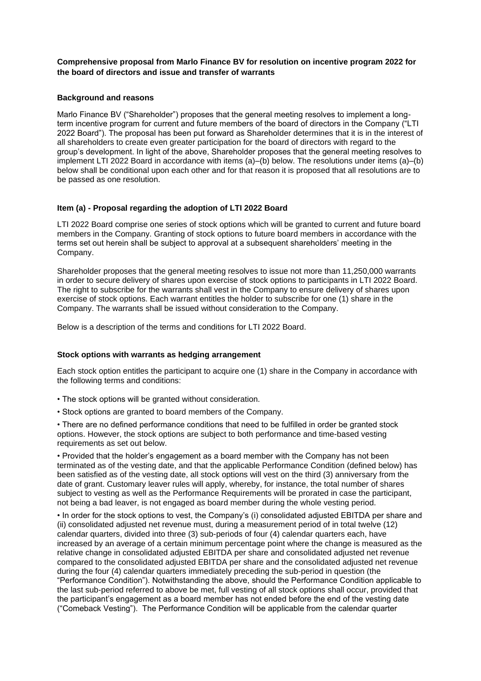**Comprehensive proposal from Marlo Finance BV for resolution on incentive program 2022 for the board of directors and issue and transfer of warrants**

### **Background and reasons**

Marlo Finance BV ("Shareholder") proposes that the general meeting resolves to implement a longterm incentive program for current and future members of the board of directors in the Company ("LTI 2022 Board"). The proposal has been put forward as Shareholder determines that it is in the interest of all shareholders to create even greater participation for the board of directors with regard to the group's development. In light of the above, Shareholder proposes that the general meeting resolves to implement LTI 2022 Board in accordance with items (a)–(b) below. The resolutions under items (a)–(b) below shall be conditional upon each other and for that reason it is proposed that all resolutions are to be passed as one resolution.

### **Item (a) - Proposal regarding the adoption of LTI 2022 Board**

LTI 2022 Board comprise one series of stock options which will be granted to current and future board members in the Company. Granting of stock options to future board members in accordance with the terms set out herein shall be subject to approval at a subsequent shareholders' meeting in the Company.

Shareholder proposes that the general meeting resolves to issue not more than 11,250,000 warrants in order to secure delivery of shares upon exercise of stock options to participants in LTI 2022 Board. The right to subscribe for the warrants shall vest in the Company to ensure delivery of shares upon exercise of stock options. Each warrant entitles the holder to subscribe for one (1) share in the Company. The warrants shall be issued without consideration to the Company.

Below is a description of the terms and conditions for LTI 2022 Board.

#### **Stock options with warrants as hedging arrangement**

Each stock option entitles the participant to acquire one (1) share in the Company in accordance with the following terms and conditions:

- The stock options will be granted without consideration.
- Stock options are granted to board members of the Company.

• There are no defined performance conditions that need to be fulfilled in order be granted stock options. However, the stock options are subject to both performance and time-based vesting requirements as set out below.

• Provided that the holder's engagement as a board member with the Company has not been terminated as of the vesting date, and that the applicable Performance Condition (defined below) has been satisfied as of the vesting date, all stock options will vest on the third (3) anniversary from the date of grant. Customary leaver rules will apply, whereby, for instance, the total number of shares subject to vesting as well as the Performance Requirements will be prorated in case the participant, not being a bad leaver, is not engaged as board member during the whole vesting period.

• In order for the stock options to vest, the Company's (i) consolidated adjusted EBITDA per share and (ii) consolidated adjusted net revenue must, during a measurement period of in total twelve (12) calendar quarters, divided into three (3) sub-periods of four (4) calendar quarters each, have increased by an average of a certain minimum percentage point where the change is measured as the relative change in consolidated adjusted EBITDA per share and consolidated adjusted net revenue compared to the consolidated adjusted EBITDA per share and the consolidated adjusted net revenue during the four (4) calendar quarters immediately preceding the sub-period in question (the "Performance Condition"). Notwithstanding the above, should the Performance Condition applicable to the last sub-period referred to above be met, full vesting of all stock options shall occur, provided that the participant's engagement as a board member has not ended before the end of the vesting date ("Comeback Vesting"). The Performance Condition will be applicable from the calendar quarter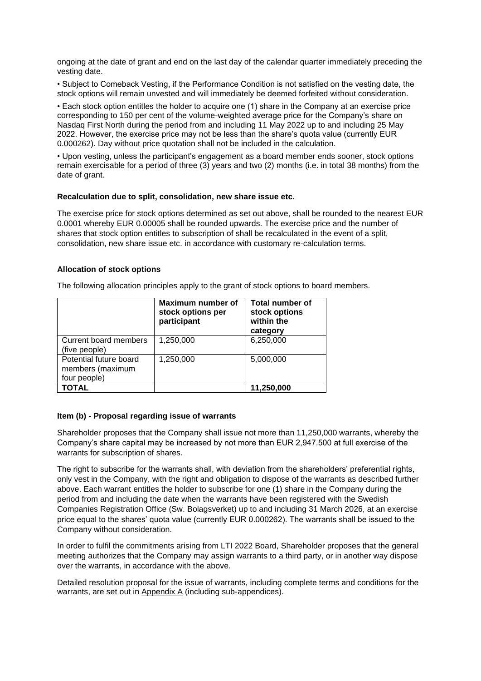ongoing at the date of grant and end on the last day of the calendar quarter immediately preceding the vesting date.

• Subject to Comeback Vesting, if the Performance Condition is not satisfied on the vesting date, the stock options will remain unvested and will immediately be deemed forfeited without consideration.

• Each stock option entitles the holder to acquire one (1) share in the Company at an exercise price corresponding to 150 per cent of the volume-weighted average price for the Company's share on Nasdaq First North during the period from and including 11 May 2022 up to and including 25 May 2022. However, the exercise price may not be less than the share's quota value (currently EUR 0.000262). Day without price quotation shall not be included in the calculation.

• Upon vesting, unless the participant's engagement as a board member ends sooner, stock options remain exercisable for a period of three (3) years and two (2) months (i.e. in total 38 months) from the date of grant.

#### **Recalculation due to split, consolidation, new share issue etc.**

The exercise price for stock options determined as set out above, shall be rounded to the nearest EUR 0.0001 whereby EUR 0.00005 shall be rounded upwards. The exercise price and the number of shares that stock option entitles to subscription of shall be recalculated in the event of a split, consolidation, new share issue etc. in accordance with customary re-calculation terms.

### **Allocation of stock options**

The following allocation principles apply to the grant of stock options to board members.

|                                                            | Maximum number of<br>stock options per<br>participant | <b>Total number of</b><br>stock options<br>within the<br>category |
|------------------------------------------------------------|-------------------------------------------------------|-------------------------------------------------------------------|
| Current board members<br>(five people)                     | 1,250,000                                             | 6,250,000                                                         |
| Potential future board<br>members (maximum<br>four people) | 1,250,000                                             | 5,000,000                                                         |
| <b>TOTAL</b>                                               |                                                       | 11,250,000                                                        |

## **Item (b) - Proposal regarding issue of warrants**

Shareholder proposes that the Company shall issue not more than 11,250,000 warrants, whereby the Company's share capital may be increased by not more than EUR 2,947.500 at full exercise of the warrants for subscription of shares.

The right to subscribe for the warrants shall, with deviation from the shareholders' preferential rights, only vest in the Company, with the right and obligation to dispose of the warrants as described further above. Each warrant entitles the holder to subscribe for one (1) share in the Company during the period from and including the date when the warrants have been registered with the Swedish Companies Registration Office (Sw. Bolagsverket) up to and including 31 March 2026, at an exercise price equal to the shares' quota value (currently EUR 0.000262). The warrants shall be issued to the Company without consideration.

In order to fulfil the commitments arising from LTI 2022 Board, Shareholder proposes that the general meeting authorizes that the Company may assign warrants to a third party, or in another way dispose over the warrants, in accordance with the above.

Detailed resolution proposal for the issue of warrants, including complete terms and conditions for the warrants, are set out in Appendix A (including sub-appendices).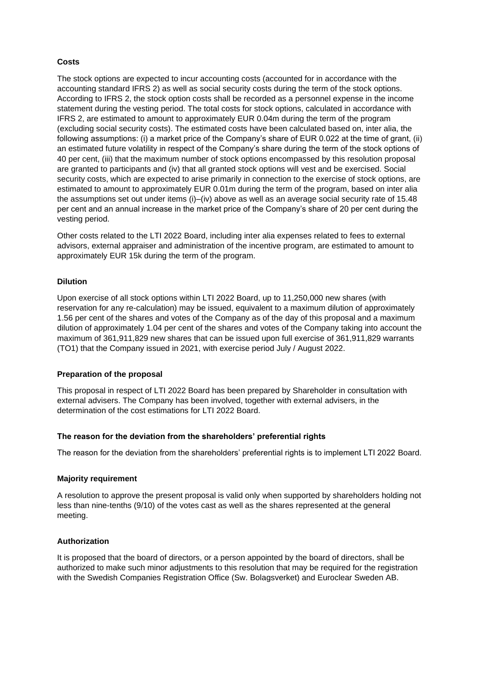# **Costs**

The stock options are expected to incur accounting costs (accounted for in accordance with the accounting standard IFRS 2) as well as social security costs during the term of the stock options. According to IFRS 2, the stock option costs shall be recorded as a personnel expense in the income statement during the vesting period. The total costs for stock options, calculated in accordance with IFRS 2, are estimated to amount to approximately EUR 0.04m during the term of the program (excluding social security costs). The estimated costs have been calculated based on, inter alia, the following assumptions: (i) a market price of the Company's share of EUR 0.022 at the time of grant, (ii) an estimated future volatility in respect of the Company's share during the term of the stock options of 40 per cent, (iii) that the maximum number of stock options encompassed by this resolution proposal are granted to participants and (iv) that all granted stock options will vest and be exercised. Social security costs, which are expected to arise primarily in connection to the exercise of stock options, are estimated to amount to approximately EUR 0.01m during the term of the program, based on inter alia the assumptions set out under items (i)–(iv) above as well as an average social security rate of 15.48 per cent and an annual increase in the market price of the Company's share of 20 per cent during the vesting period.

Other costs related to the LTI 2022 Board, including inter alia expenses related to fees to external advisors, external appraiser and administration of the incentive program, are estimated to amount to approximately EUR 15k during the term of the program.

### **Dilution**

Upon exercise of all stock options within LTI 2022 Board, up to 11,250,000 new shares (with reservation for any re-calculation) may be issued, equivalent to a maximum dilution of approximately 1.56 per cent of the shares and votes of the Company as of the day of this proposal and a maximum dilution of approximately 1.04 per cent of the shares and votes of the Company taking into account the maximum of 361,911,829 new shares that can be issued upon full exercise of 361,911,829 warrants (TO1) that the Company issued in 2021, with exercise period July / August 2022.

## **Preparation of the proposal**

This proposal in respect of LTI 2022 Board has been prepared by Shareholder in consultation with external advisers. The Company has been involved, together with external advisers, in the determination of the cost estimations for LTI 2022 Board.

#### **The reason for the deviation from the shareholders' preferential rights**

The reason for the deviation from the shareholders' preferential rights is to implement LTI 2022 Board.

## **Majority requirement**

A resolution to approve the present proposal is valid only when supported by shareholders holding not less than nine-tenths (9/10) of the votes cast as well as the shares represented at the general meeting.

## **Authorization**

It is proposed that the board of directors, or a person appointed by the board of directors, shall be authorized to make such minor adjustments to this resolution that may be required for the registration with the Swedish Companies Registration Office (Sw. Bolagsverket) and Euroclear Sweden AB.